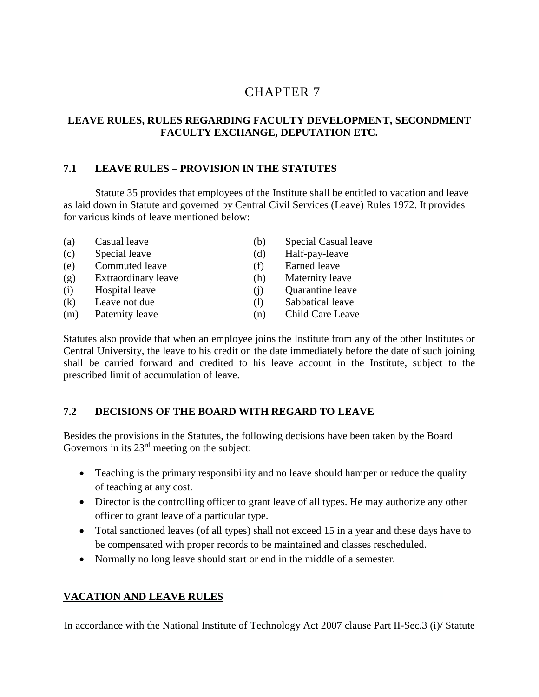# 7 CHAPTER 7

### **LEAVE RULES, RULES REGARDING FACULTY DEVELOPMENT, SECONDMENT FACULTY EXCHANGE, DEPUTATION ETC.**

#### **7.1 LEAVE RULES – PROVISION IN THE STATUTES**

Statute 35 provides that employees of the Institute shall be entitled to vacation and leave as laid down in Statute and governed by Central Civil Services (Leave) Rules 1972. It provides for various kinds of leave mentioned below:

- (a) Casual leave (b) Special Casual leave (c) Special leave (d) Half-pay-leave (e) Commuted leave (f) Earned leave (g) Extraordinary leave (h) Maternity leave (i) Hospital leave (j) Quarantine leave
- 
- 
- 
- 
- 
- 
- 
- (k) Leave not due (l) Sabbatical leave
- (m) Paternity leave (n) Child Care Leave

Statutes also provide that when an employee joins the Institute from any of the other Institutes or Central University, the leave to his credit on the date immediately before the date of such joining shall be carried forward and credited to his leave account in the Institute, subject to the prescribed limit of accumulation of leave.

#### **7.2 DECISIONS OF THE BOARD WITH REGARD TO LEAVE**

Besides the provisions in the Statutes, the following decisions have been taken by the Board Governors in its  $23<sup>rd</sup>$  meeting on the subject:

- Teaching is the primary responsibility and no leave should hamper or reduce the quality of teaching at any cost.
- Director is the controlling officer to grant leave of all types. He may authorize any other officer to grant leave of a particular type.
- Total sanctioned leaves (of all types) shall not exceed 15 in a year and these days have to be compensated with proper records to be maintained and classes rescheduled.
- Normally no long leave should start or end in the middle of a semester.

### **VACATION AND LEAVE RULES**

In accordance with the National Institute of Technology Act 2007 clause Part II-Sec.3 (i)/ Statute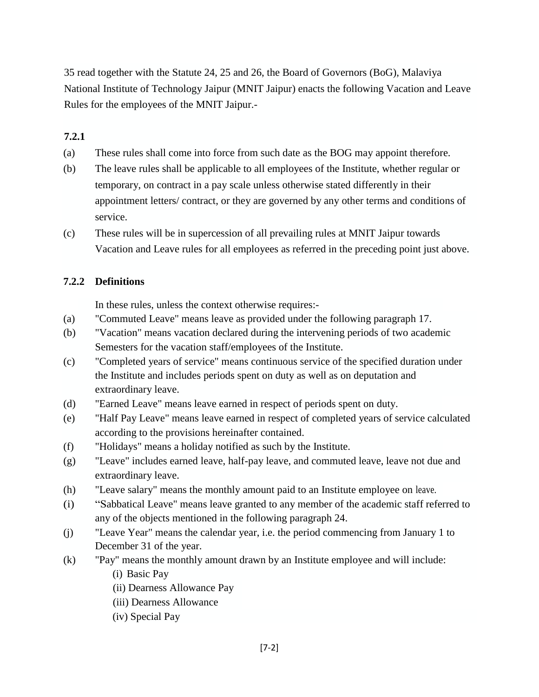35 read together with the Statute 24, 25 and 26, the Board of Governors (BoG), Malaviya National Institute of Technology Jaipur (MNIT Jaipur) enacts the following Vacation and Leave Rules for the employees of the MNIT Jaipur.-

#### **7.2.1**

- (a) These rules shall come into force from such date as the BOG may appoint therefore.
- (b) The leave rules shall be applicable to all employees of the Institute, whether regular or temporary, on contract in a pay scale unless otherwise stated differently in their appointment letters/ contract, or they are governed by any other terms and conditions of service.
- (c) These rules will be in supercession of all prevailing rules at MNIT Jaipur towards Vacation and Leave rules for all employees as referred in the preceding point just above.

#### **7.2.2 Definitions**

In these rules, unless the context otherwise requires:-

- (a) "Commuted Leave" means leave as provided under the following paragraph 17.
- (b) "Vacation" means vacation declared during the intervening periods of two academic Semesters for the vacation staff/employees of the Institute.
- (c) "Completed years of service" means continuous service of the specified duration under the Institute and includes periods spent on duty as well as on deputation and extraordinary leave.
- (d) "Earned Leave" means leave earned in respect of periods spent on duty.
- (e) "Half Pay Leave" means leave earned in respect of completed years of service calculated according to the provisions hereinafter contained.
- (f) "Holidays" means a holiday notified as such by the Institute.
- (g) "Leave" includes earned leave, half-pay leave, and commuted leave, leave not due and extraordinary leave.
- (h) "Leave salary" means the monthly amount paid to an Institute employee on leave.
- (i) "Sabbatical Leave" means leave granted to any member of the academic staff referred to any of the objects mentioned in the following paragraph 24.
- (j) "Leave Year" means the calendar year, i.e. the period commencing from January 1 to December 31 of the year.
- (k) "Pay" means the monthly amount drawn by an Institute employee and will include:
	- (i) Basic Pay
	- (ii) Dearness Allowance Pay
	- (iii) Dearness Allowance
	- (iv) Special Pay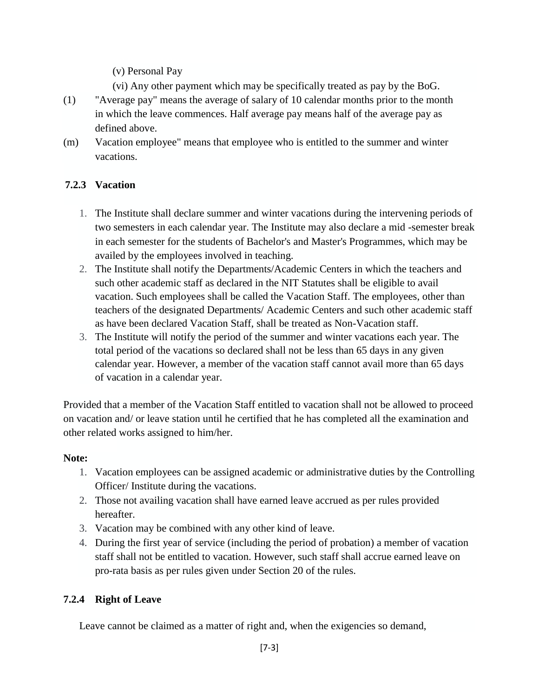(v) Personal Pay

- (vi) Any other payment which may be specifically treated as pay by the BoG.
- (1) "Average pay" means the average of salary of 10 calendar months prior to the month in which the leave commences. Half average pay means half of the average pay as defined above.
- (m) Vacation employee" means that employee who is entitled to the summer and winter vacations.

# **7.2.3 Vacation**

- 1. The Institute shall declare summer and winter vacations during the intervening periods of two semesters in each calendar year. The Institute may also declare a mid -semester break in each semester for the students of Bachelor's and Master's Programmes, which may be availed by the employees involved in teaching.
- 2. The Institute shall notify the Departments/Academic Centers in which the teachers and such other academic staff as declared in the NIT Statutes shall be eligible to avail vacation. Such employees shall be called the Vacation Staff. The employees, other than teachers of the designated Departments/ Academic Centers and such other academic staff as have been declared Vacation Staff, shall be treated as Non-Vacation staff.
- 3. The Institute will notify the period of the summer and winter vacations each year. The total period of the vacations so declared shall not be less than 65 days in any given calendar year. However, a member of the vacation staff cannot avail more than 65 days of vacation in a calendar year.

Provided that a member of the Vacation Staff entitled to vacation shall not be allowed to proceed on vacation and/ or leave station until he certified that he has completed all the examination and other related works assigned to him/her.

### **Note:**

- 1. Vacation employees can be assigned academic or administrative duties by the Controlling Officer/ Institute during the vacations.
- 2. Those not availing vacation shall have earned leave accrued as per rules provided hereafter.
- 3. Vacation may be combined with any other kind of leave.
- 4. During the first year of service (including the period of probation) a member of vacation staff shall not be entitled to vacation. However, such staff shall accrue earned leave on pro-rata basis as per rules given under Section 20 of the rules.

### **7.2.4 Right of Leave**

Leave cannot be claimed as a matter of right and, when the exigencies so demand,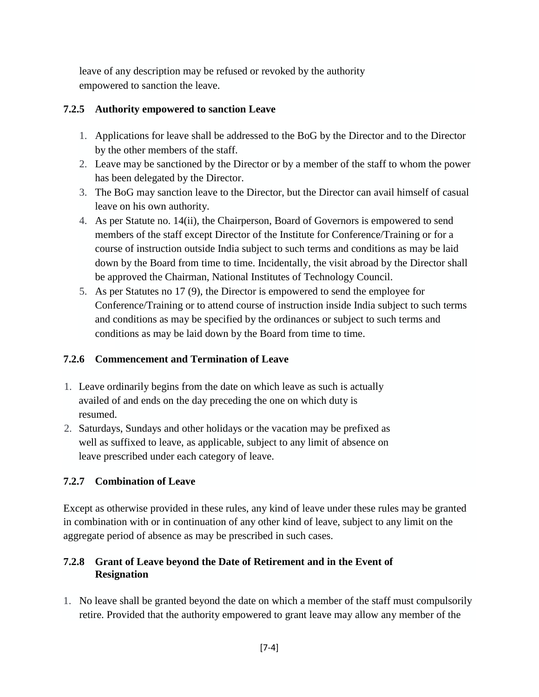leave of any description may be refused or revoked by the authority empowered to sanction the leave.

#### **7.2.5 Authority empowered to sanction Leave**

- 1. Applications for leave shall be addressed to the BoG by the Director and to the Director by the other members of the staff.
- 2. Leave may be sanctioned by the Director or by a member of the staff to whom the power has been delegated by the Director.
- 3. The BoG may sanction leave to the Director, but the Director can avail himself of casual leave on his own authority.
- 4. As per Statute no. 14(ii), the Chairperson, Board of Governors is empowered to send members of the staff except Director of the Institute for Conference/Training or for a course of instruction outside India subject to such terms and conditions as may be laid down by the Board from time to time. Incidentally, the visit abroad by the Director shall be approved the Chairman, National Institutes of Technology Council.
- 5. As per Statutes no 17 (9), the Director is empowered to send the employee for Conference/Training or to attend course of instruction inside India subject to such terms and conditions as may be specified by the ordinances or subject to such terms and conditions as may be laid down by the Board from time to time.

### **7.2.6 Commencement and Termination of Leave**

- 1. Leave ordinarily begins from the date on which leave as such is actually availed of and ends on the day preceding the one on which duty is resumed.
- 2. Saturdays, Sundays and other holidays or the vacation may be prefixed as well as suffixed to leave, as applicable, subject to any limit of absence on leave prescribed under each category of leave.

### **7.2.7 Combination of Leave**

Except as otherwise provided in these rules, any kind of leave under these rules may be granted in combination with or in continuation of any other kind of leave, subject to any limit on the aggregate period of absence as may be prescribed in such cases.

### **7.2.8 Grant of Leave beyond the Date of Retirement and in the Event of Resignation**

1. No leave shall be granted beyond the date on which a member of the staff must compulsorily retire. Provided that the authority empowered to grant leave may allow any member of the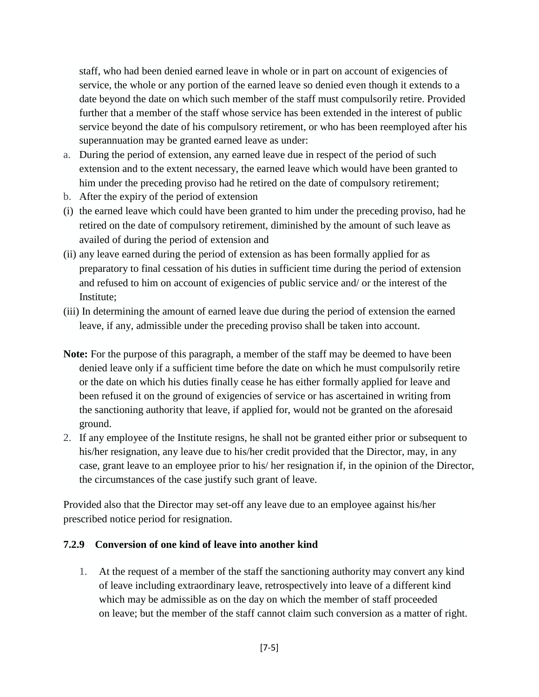staff, who had been denied earned leave in whole or in part on account of exigencies of service, the whole or any portion of the earned leave so denied even though it extends to a date beyond the date on which such member of the staff must compulsorily retire. Provided further that a member of the staff whose service has been extended in the interest of public service beyond the date of his compulsory retirement, or who has been reemployed after his superannuation may be granted earned leave as under:

- a. During the period of extension, any earned leave due in respect of the period of such extension and to the extent necessary, the earned leave which would have been granted to him under the preceding proviso had he retired on the date of compulsory retirement;
- b. After the expiry of the period of extension
- (i) the earned leave which could have been granted to him under the preceding proviso, had he retired on the date of compulsory retirement, diminished by the amount of such leave as availed of during the period of extension and
- (ii) any leave earned during the period of extension as has been formally applied for as preparatory to final cessation of his duties in sufficient time during the period of extension and refused to him on account of exigencies of public service and/ or the interest of the Institute;
- (iii) In determining the amount of earned leave due during the period of extension the earned leave, if any, admissible under the preceding proviso shall be taken into account.
- **Note:** For the purpose of this paragraph, a member of the staff may be deemed to have been denied leave only if a sufficient time before the date on which he must compulsorily retire or the date on which his duties finally cease he has either formally applied for leave and been refused it on the ground of exigencies of service or has ascertained in writing from the sanctioning authority that leave, if applied for, would not be granted on the aforesaid ground.
- 2. If any employee of the Institute resigns, he shall not be granted either prior or subsequent to his/her resignation, any leave due to his/her credit provided that the Director, may, in any case, grant leave to an employee prior to his/ her resignation if, in the opinion of the Director, the circumstances of the case justify such grant of leave.

Provided also that the Director may set-off any leave due to an employee against his/her prescribed notice period for resignation.

#### **7.2.9 Conversion of one kind of leave into another kind**

1. At the request of a member of the staff the sanctioning authority may convert any kind of leave including extraordinary leave, retrospectively into leave of a different kind which may be admissible as on the day on which the member of staff proceeded on leave; but the member of the staff cannot claim such conversion as a matter of right.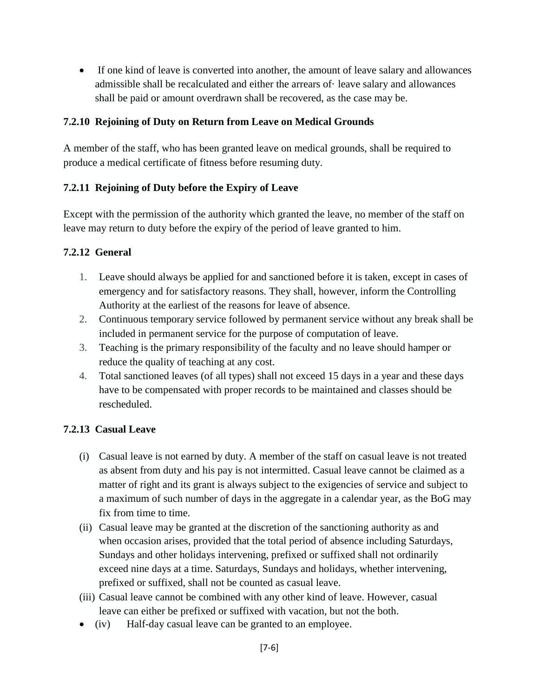If one kind of leave is converted into another, the amount of leave salary and allowances admissible shall be recalculated and either the arrears of· leave salary and allowances shall be paid or amount overdrawn shall be recovered, as the case may be.

#### **7.2.10 Rejoining of Duty on Return from Leave on Medical Grounds**

A member of the staff, who has been granted leave on medical grounds, shall be required to produce a medical certificate of fitness before resuming duty.

#### **7.2.11 Rejoining of Duty before the Expiry of Leave**

Except with the permission of the authority which granted the leave, no member of the staff on leave may return to duty before the expiry of the period of leave granted to him.

#### **7.2.12 General**

- 1. Leave should always be applied for and sanctioned before it is taken, except in cases of emergency and for satisfactory reasons. They shall, however, inform the Controlling Authority at the earliest of the reasons for leave of absence.
- 2. Continuous temporary service followed by permanent service without any break shall be included in permanent service for the purpose of computation of leave.
- 3. Teaching is the primary responsibility of the faculty and no leave should hamper or reduce the quality of teaching at any cost.
- 4. Total sanctioned leaves (of all types) shall not exceed 15 days in a year and these days have to be compensated with proper records to be maintained and classes should be rescheduled.

#### **7.2.13 Casual Leave**

- (i) Casual leave is not earned by duty. A member of the staff on casual leave is not treated as absent from duty and his pay is not intermitted. Casual leave cannot be claimed as a matter of right and its grant is always subject to the exigencies of service and subject to a maximum of such number of days in the aggregate in a calendar year, as the BoG may fix from time to time.
- (ii) Casual leave may be granted at the discretion of the sanctioning authority as and when occasion arises, provided that the total period of absence including Saturdays, Sundays and other holidays intervening, prefixed or suffixed shall not ordinarily exceed nine days at a time. Saturdays, Sundays and holidays, whether intervening, prefixed or suffixed, shall not be counted as casual leave.
- (iii) Casual leave cannot be combined with any other kind of leave. However, casual leave can either be prefixed or suffixed with vacation, but not the both.
- (iv) Half-day casual leave can be granted to an employee.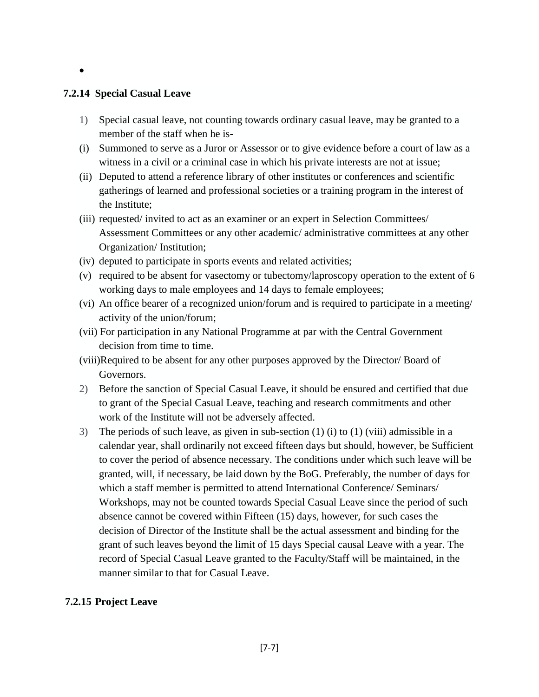#### $\bullet$

#### **7.2.14 Special Casual Leave**

- 1) Special casual leave, not counting towards ordinary casual leave, may be granted to a member of the staff when he is-
- (i) Summoned to serve as a Juror or Assessor or to give evidence before a court of law as a witness in a civil or a criminal case in which his private interests are not at issue;
- (ii) Deputed to attend a reference library of other institutes or conferences and scientific gatherings of learned and professional societies or a training program in the interest of the Institute;
- (iii) requested/ invited to act as an examiner or an expert in Selection Committees/ Assessment Committees or any other academic/ administrative committees at any other Organization/ Institution;
- (iv) deputed to participate in sports events and related activities;
- (v) required to be absent for vasectomy or tubectomy/laproscopy operation to the extent of 6 working days to male employees and 14 days to female employees;
- (vi) An office bearer of a recognized union/forum and is required to participate in a meeting/ activity of the union/forum;
- (vii) For participation in any National Programme at par with the Central Government decision from time to time.
- (viii)Required to be absent for any other purposes approved by the Director/ Board of Governors.
- 2) Before the sanction of Special Casual Leave, it should be ensured and certified that due to grant of the Special Casual Leave, teaching and research commitments and other work of the Institute will not be adversely affected.
- 3) The periods of such leave, as given in sub-section  $(1)$  (i) to  $(1)$  (viii) admissible in a calendar year, shall ordinarily not exceed fifteen days but should, however, be Sufficient to cover the period of absence necessary. The conditions under which such leave will be granted, will, if necessary, be laid down by the BoG. Preferably, the number of days for which a staff member is permitted to attend International Conference/ Seminars/ Workshops, may not be counted towards Special Casual Leave since the period of such absence cannot be covered within Fifteen (15) days, however, for such cases the decision of Director of the Institute shall be the actual assessment and binding for the grant of such leaves beyond the limit of 15 days Special causal Leave with a year. The record of Special Casual Leave granted to the Faculty/Staff will be maintained, in the manner similar to that for Casual Leave.

#### **7.2.15 Project Leave**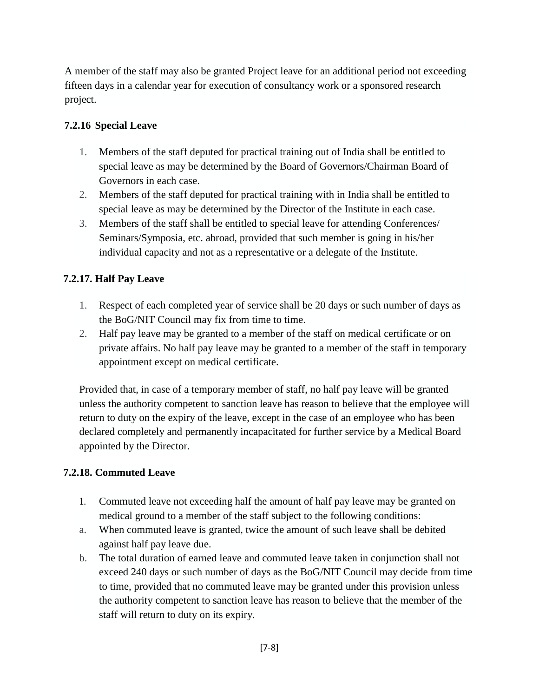A member of the staff may also be granted Project leave for an additional period not exceeding fifteen days in a calendar year for execution of consultancy work or a sponsored research project.

#### **7.2.16 Special Leave**

- 1. Members of the staff deputed for practical training out of India shall be entitled to special leave as may be determined by the Board of Governors/Chairman Board of Governors in each case.
- 2. Members of the staff deputed for practical training with in India shall be entitled to special leave as may be determined by the Director of the Institute in each case.
- 3. Members of the staff shall be entitled to special leave for attending Conferences/ Seminars/Symposia, etc. abroad, provided that such member is going in his/her individual capacity and not as a representative or a delegate of the Institute.

#### **7.2.17. Half Pay Leave**

- 1. Respect of each completed year of service shall be 20 days or such number of days as the BoG/NIT Council may fix from time to time.
- 2. Half pay leave may be granted to a member of the staff on medical certificate or on private affairs. No half pay leave may be granted to a member of the staff in temporary appointment except on medical certificate.

Provided that, in case of a temporary member of staff, no half pay leave will be granted unless the authority competent to sanction leave has reason to believe that the employee will return to duty on the expiry of the leave, except in the case of an employee who has been declared completely and permanently incapacitated for further service by a Medical Board appointed by the Director.

#### **7.2.18. Commuted Leave**

- 1. Commuted leave not exceeding half the amount of half pay leave may be granted on medical ground to a member of the staff subject to the following conditions:
- a. When commuted leave is granted, twice the amount of such leave shall be debited against half pay leave due.
- b. The total duration of earned leave and commuted leave taken in conjunction shall not exceed 240 days or such number of days as the BoG/NIT Council may decide from time to time, provided that no commuted leave may be granted under this provision unless the authority competent to sanction leave has reason to believe that the member of the staff will return to duty on its expiry.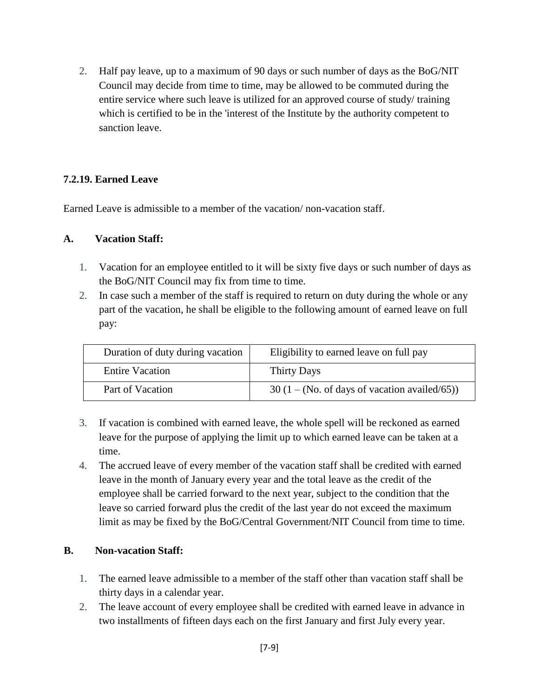2. Half pay leave, up to a maximum of 90 days or such number of days as the BoG/NIT Council may decide from time to time, may be allowed to be commuted during the entire service where such leave is utilized for an approved course of study/ training which is certified to be in the 'interest of the Institute by the authority competent to sanction leave.

#### **7.2.19. Earned Leave**

Earned Leave is admissible to a member of the vacation/ non-vacation staff.

#### **A. Vacation Staff:**

- 1. Vacation for an employee entitled to it will be sixty five days or such number of days as the BoG/NIT Council may fix from time to time.
- 2. In case such a member of the staff is required to return on duty during the whole or any part of the vacation, he shall be eligible to the following amount of earned leave on full pay:

| Duration of duty during vacation | Eligibility to earned leave on full pay          |
|----------------------------------|--------------------------------------------------|
| <b>Entire Vacation</b>           | Thirty Days                                      |
| Part of Vacation                 | $30(1 - (No. of days of vacation available/65))$ |

- 3. If vacation is combined with earned leave, the whole spell will be reckoned as earned leave for the purpose of applying the limit up to which earned leave can be taken at a time.
- 4. The accrued leave of every member of the vacation staff shall be credited with earned leave in the month of January every year and the total leave as the credit of the employee shall be carried forward to the next year, subject to the condition that the leave so carried forward plus the credit of the last year do not exceed the maximum limit as may be fixed by the BoG/Central Government/NIT Council from time to time.

#### **B. Non-vacation Staff:**

- 1. The earned leave admissible to a member of the staff other than vacation staff shall be thirty days in a calendar year.
- 2. The leave account of every employee shall be credited with earned leave in advance in two installments of fifteen days each on the first January and first July every year.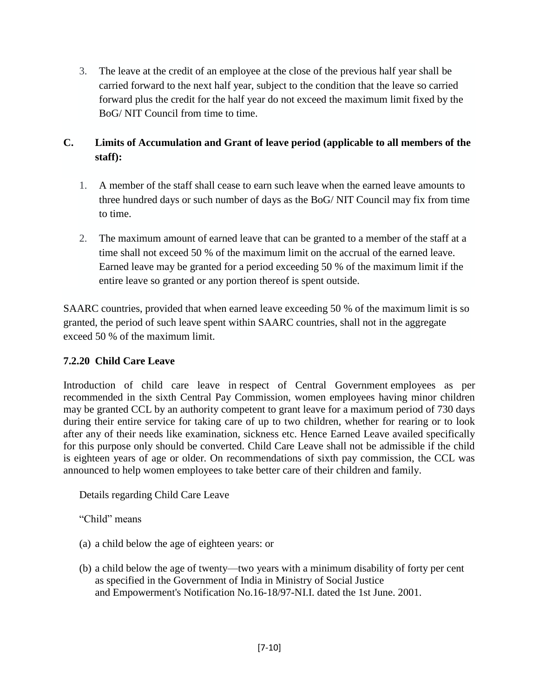3. The leave at the credit of an employee at the close of the previous half year shall be carried forward to the next half year, subject to the condition that the leave so carried forward plus the credit for the half year do not exceed the maximum limit fixed by the BoG/ NIT Council from time to time.

# **C. Limits of Accumulation and Grant of leave period (applicable to all members of the staff):**

- 1. A member of the staff shall cease to earn such leave when the earned leave amounts to three hundred days or such number of days as the BoG/ NIT Council may fix from time to time.
- 2. The maximum amount of earned leave that can be granted to a member of the staff at a time shall not exceed 50 % of the maximum limit on the accrual of the earned leave. Earned leave may be granted for a period exceeding 50 % of the maximum limit if the entire leave so granted or any portion thereof is spent outside.

SAARC countries, provided that when earned leave exceeding 50 % of the maximum limit is so granted, the period of such leave spent within SAARC countries, shall not in the aggregate exceed 50 % of the maximum limit.

### **7.2.20 Child Care Leave**

Introduction of child care leave in respect of Central Government employees as per recommended in the sixth Central Pay Commission, women employees having minor children may be granted CCL by an authority competent to grant leave for a maximum period of 730 days during their entire service for taking care of up to two children, whether for rearing or to look after any of their needs like examination, sickness etc. Hence Earned Leave availed specifically for this purpose only should be converted. Child Care Leave shall not be admissible if the child is eighteen years of age or older. On recommendations of sixth pay commission, the CCL was announced to help women employees to take better care of their children and family.

Details regarding Child Care Leave

"Child" means

- (a) a child below the age of eighteen years: or
- (b) a child below the age of twenty—two years with a minimum disability of forty per cent as specified in the Government of India in Ministry of Social Justice and Empowerment's Notification No.16-18/97-NI.I. dated the 1st June. 2001.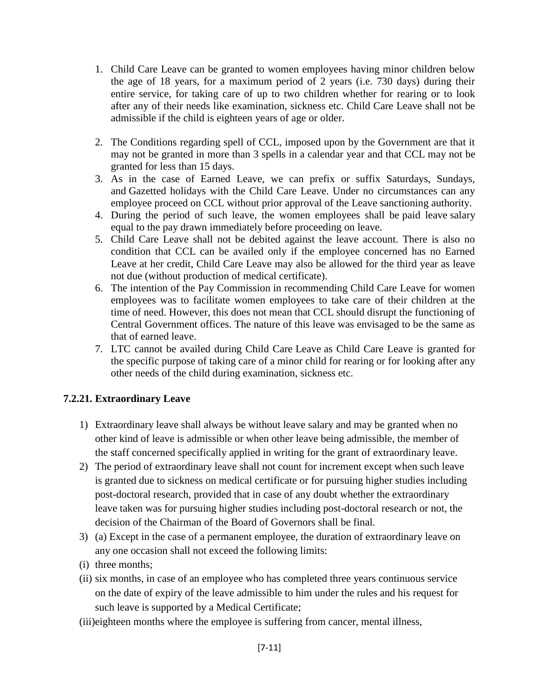- 1. Child Care Leave can be granted to women employees having minor children below the age of 18 years, for a maximum period of 2 years (i.e. 730 days) during their entire service, for taking care of up to two children whether for rearing or to look after any of their needs like examination, sickness etc. Child Care Leave shall not be admissible if the child is eighteen years of age or older.
- 2. The Conditions regarding spell of CCL, imposed upon by the Government are that it may not be granted in more than 3 spells in a calendar year and that CCL may not be granted for less than 15 days.
- 3. As in the case of Earned Leave, we can prefix or suffix Saturdays, Sundays, and Gazetted holidays with the Child Care Leave. Under no circumstances can any employee proceed on CCL without prior approval of the Leave sanctioning authority.
- 4. During the period of such leave, the women employees shall be paid leave salary equal to the pay drawn immediately before proceeding on leave.
- 5. Child Care Leave shall not be debited against the leave account. There is also no condition that CCL can be availed only if the employee concerned has no Earned Leave at her credit, Child Care Leave may also be allowed for the third year as leave not due (without production of medical certificate).
- 6. The intention of the Pay Commission in recommending Child Care Leave for women employees was to facilitate women employees to take care of their children at the time of need. However, this does not mean that CCL should disrupt the functioning of Central Government offices. The nature of this leave was envisaged to be the same as that of earned leave.
- 7. LTC cannot be availed during Child Care Leave as Child Care Leave is granted for the specific purpose of taking care of a minor child for rearing or for looking after any other needs of the child during examination, sickness etc.

### **7.2.21. Extraordinary Leave**

- 1) Extraordinary leave shall always be without leave salary and may be granted when no other kind of leave is admissible or when other leave being admissible, the member of the staff concerned specifically applied in writing for the grant of extraordinary leave.
- 2) The period of extraordinary leave shall not count for increment except when such leave is granted due to sickness on medical certificate or for pursuing higher studies including post-doctoral research, provided that in case of any doubt whether the extraordinary leave taken was for pursuing higher studies including post-doctoral research or not, the decision of the Chairman of the Board of Governors shall be final.
- 3) (a) Except in the case of a permanent employee, the duration of extraordinary leave on any one occasion shall not exceed the following limits:
- (i) three months;
- (ii) six months, in case of an employee who has completed three years continuous service on the date of expiry of the leave admissible to him under the rules and his request for such leave is supported by a Medical Certificate;
- (iii)eighteen months where the employee is suffering from cancer, mental illness,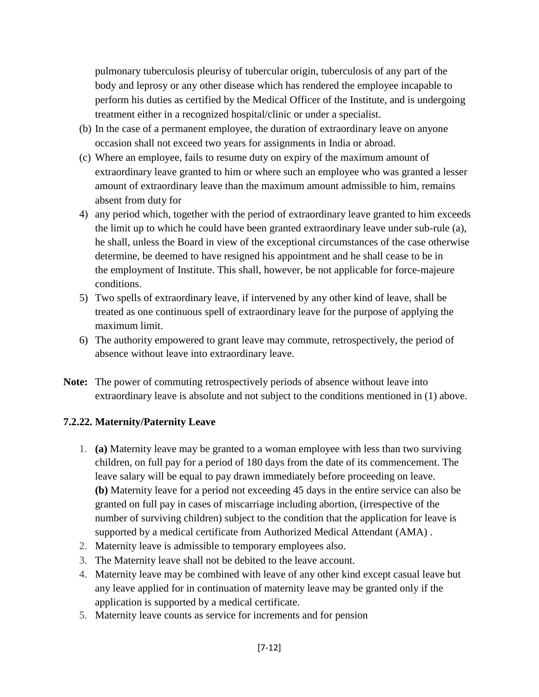pulmonary tuberculosis pleurisy of tubercular origin, tuberculosis of any part of the body and leprosy or any other disease which has rendered the employee incapable to perform his duties as certified by the Medical Officer of the Institute, and is undergoing treatment either in a recognized hospital/clinic or under a specialist.

- (b) In the case of a permanent employee, the duration of extraordinary leave on anyone occasion shall not exceed two years for assignments in India or abroad.
- (c) Where an employee, fails to resume duty on expiry of the maximum amount of extraordinary leave granted to him or where such an employee who was granted a lesser amount of extraordinary leave than the maximum amount admissible to him, remains absent from duty for
- 4) any period which, together with the period of extraordinary leave granted to him exceeds the limit up to which he could have been granted extraordinary leave under sub-rule (a), he shall, unless the Board in view of the exceptional circumstances of the case otherwise determine, be deemed to have resigned his appointment and he shall cease to be in the employment of Institute. This shall, however, be not applicable for force-majeure conditions.
- 5) Two spells of extraordinary leave, if intervened by any other kind of leave, shall be treated as one continuous spell of extraordinary leave for the purpose of applying the maximum limit.
- 6) The authority empowered to grant leave may commute, retrospectively, the period of absence without leave into extraordinary leave.
- **Note:** The power of commuting retrospectively periods of absence without leave into extraordinary leave is absolute and not subject to the conditions mentioned in (1) above.

#### **7.2.22. Maternity/Paternity Leave**

- 1. **(a)** Maternity leave may be granted to a woman employee with less than two surviving children, on full pay for a period of 180 days from the date of its commencement. The leave salary will be equal to pay drawn immediately before proceeding on leave. **(b)** Maternity leave for a period not exceeding 45 days in the entire service can also be granted on full pay in cases of miscarriage including abortion, (irrespective of the number of surviving children) subject to the condition that the application for leave is supported by a medical certificate from Authorized Medical Attendant (AMA) .
- 2. Maternity leave is admissible to temporary employees also.
- 3. The Maternity leave shall not be debited to the leave account.
- 4. Maternity leave may be combined with leave of any other kind except casual leave but any leave applied for in continuation of maternity leave may be granted only if the application is supported by a medical certificate.
- 5. Maternity leave counts as service for increments and for pension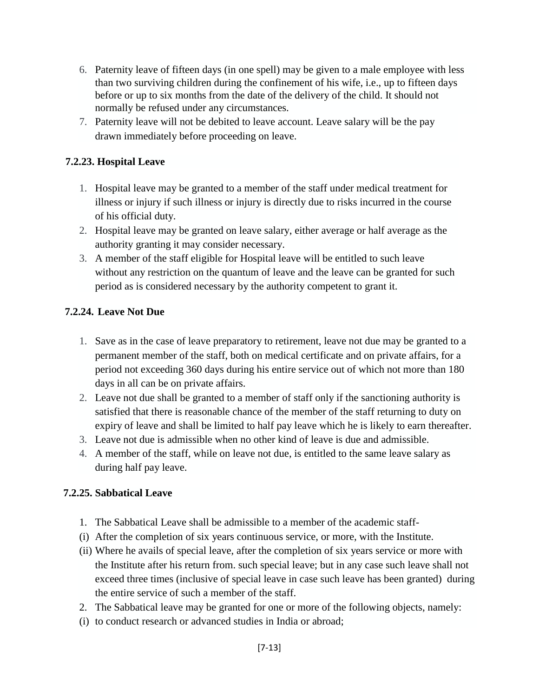- 6. Paternity leave of fifteen days (in one spell) may be given to a male employee with less than two surviving children during the confinement of his wife, i.e., up to fifteen days before or up to six months from the date of the delivery of the child. It should not normally be refused under any circumstances.
- 7. Paternity leave will not be debited to leave account. Leave salary will be the pay drawn immediately before proceeding on leave.

#### **7.2.23. Hospital Leave**

- 1. Hospital leave may be granted to a member of the staff under medical treatment for illness or injury if such illness or injury is directly due to risks incurred in the course of his official duty.
- 2. Hospital leave may be granted on leave salary, either average or half average as the authority granting it may consider necessary.
- 3. A member of the staff eligible for Hospital leave will be entitled to such leave without any restriction on the quantum of leave and the leave can be granted for such period as is considered necessary by the authority competent to grant it.

#### **7.2.24. Leave Not Due**

- 1. Save as in the case of leave preparatory to retirement, leave not due may be granted to a permanent member of the staff, both on medical certificate and on private affairs, for a period not exceeding 360 days during his entire service out of which not more than 180 days in all can be on private affairs.
- 2. Leave not due shall be granted to a member of staff only if the sanctioning authority is satisfied that there is reasonable chance of the member of the staff returning to duty on expiry of leave and shall be limited to half pay leave which he is likely to earn thereafter.
- 3. Leave not due is admissible when no other kind of leave is due and admissible.
- 4. A member of the staff, while on leave not due, is entitled to the same leave salary as during half pay leave.

#### **7.2.25. Sabbatical Leave**

- 1. The Sabbatical Leave shall be admissible to a member of the academic staff-
- (i) After the completion of six years continuous service, or more, with the Institute.
- (ii) Where he avails of special leave, after the completion of six years service or more with the Institute after his return from. such special leave; but in any case such leave shall not exceed three times (inclusive of special leave in case such leave has been granted) during the entire service of such a member of the staff.
- 2. The Sabbatical leave may be granted for one or more of the following objects, namely:
- (i) to conduct research or advanced studies in India or abroad;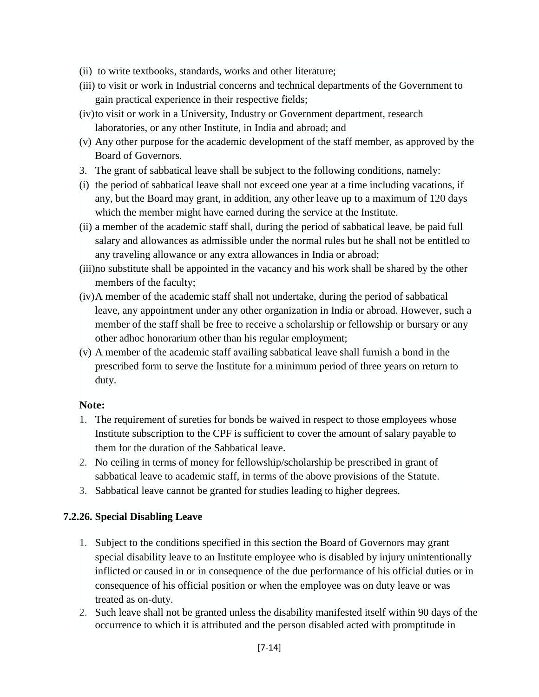- (ii) to write textbooks, standards, works and other literature;
- (iii) to visit or work in Industrial concerns and technical departments of the Government to gain practical experience in their respective fields;
- (iv)to visit or work in a University, Industry or Government department, research laboratories, or any other Institute, in India and abroad; and
- (v) Any other purpose for the academic development of the staff member, as approved by the Board of Governors.
- 3. The grant of sabbatical leave shall be subject to the following conditions, namely:
- (i) the period of sabbatical leave shall not exceed one year at a time including vacations, if any, but the Board may grant, in addition, any other leave up to a maximum of 120 days which the member might have earned during the service at the Institute.
- (ii) a member of the academic staff shall, during the period of sabbatical leave, be paid full salary and allowances as admissible under the normal rules but he shall not be entitled to any traveling allowance or any extra allowances in India or abroad;
- (iii)no substitute shall be appointed in the vacancy and his work shall be shared by the other members of the faculty;
- (iv)A member of the academic staff shall not undertake, during the period of sabbatical leave, any appointment under any other organization in India or abroad. However, such a member of the staff shall be free to receive a scholarship or fellowship or bursary or any other adhoc honorarium other than his regular employment;
- (v) A member of the academic staff availing sabbatical leave shall furnish a bond in the prescribed form to serve the Institute for a minimum period of three years on return to duty.

### **Note:**

- 1. The requirement of sureties for bonds be waived in respect to those employees whose Institute subscription to the CPF is sufficient to cover the amount of salary payable to them for the duration of the Sabbatical leave.
- 2. No ceiling in terms of money for fellowship/scholarship be prescribed in grant of sabbatical leave to academic staff, in terms of the above provisions of the Statute.
- 3. Sabbatical leave cannot be granted for studies leading to higher degrees.

### **7.2.26. Special Disabling Leave**

- 1. Subject to the conditions specified in this section the Board of Governors may grant special disability leave to an Institute employee who is disabled by injury unintentionally inflicted or caused in or in consequence of the due performance of his official duties or in consequence of his official position or when the employee was on duty leave or was treated as on-duty.
- 2. Such leave shall not be granted unless the disability manifested itself within 90 days of the occurrence to which it is attributed and the person disabled acted with promptitude in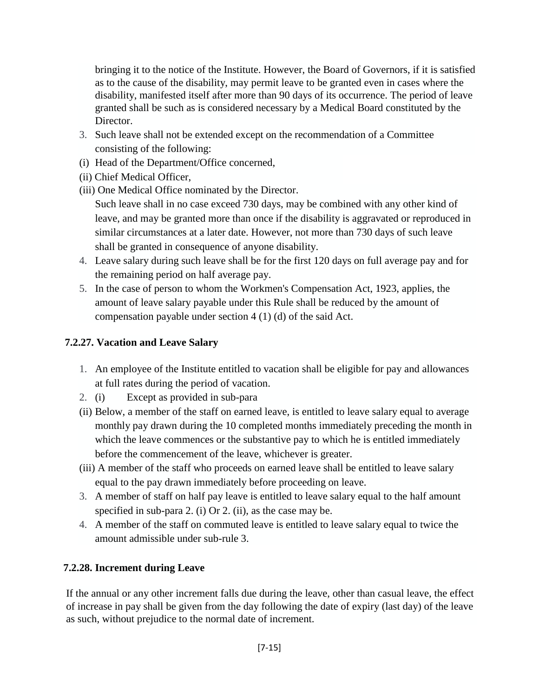bringing it to the notice of the Institute. However, the Board of Governors, if it is satisfied as to the cause of the disability, may permit leave to be granted even in cases where the disability, manifested itself after more than 90 days of its occurrence. The period of leave granted shall be such as is considered necessary by a Medical Board constituted by the Director.

- 3. Such leave shall not be extended except on the recommendation of a Committee consisting of the following:
- (i) Head of the Department/Office concerned,
- (ii) Chief Medical Officer,
- (iii) One Medical Office nominated by the Director.

Such leave shall in no case exceed 730 days, may be combined with any other kind of leave, and may be granted more than once if the disability is aggravated or reproduced in similar circumstances at a later date. However, not more than 730 days of such leave shall be granted in consequence of anyone disability.

- 4. Leave salary during such leave shall be for the first 120 days on full average pay and for the remaining period on half average pay.
- 5. In the case of person to whom the Workmen's Compensation Act, 1923, applies, the amount of leave salary payable under this Rule shall be reduced by the amount of compensation payable under section 4 (1) (d) of the said Act.

## **7.2.27. Vacation and Leave Salary**

- 1. An employee of the Institute entitled to vacation shall be eligible for pay and allowances at full rates during the period of vacation.
- 2. (i) Except as provided in sub-para
- (ii) Below, a member of the staff on earned leave, is entitled to leave salary equal to average monthly pay drawn during the 10 completed months immediately preceding the month in which the leave commences or the substantive pay to which he is entitled immediately before the commencement of the leave, whichever is greater.
- (iii) A member of the staff who proceeds on earned leave shall be entitled to leave salary equal to the pay drawn immediately before proceeding on leave.
- 3. A member of staff on half pay leave is entitled to leave salary equal to the half amount specified in sub-para 2. (i) Or 2. (ii), as the case may be.
- 4. A member of the staff on commuted leave is entitled to leave salary equal to twice the amount admissible under sub-rule 3.

# **7.2.28. Increment during Leave**

If the annual or any other increment falls due during the leave, other than casual leave, the effect of increase in pay shall be given from the day following the date of expiry (last day) of the leave as such, without prejudice to the normal date of increment.